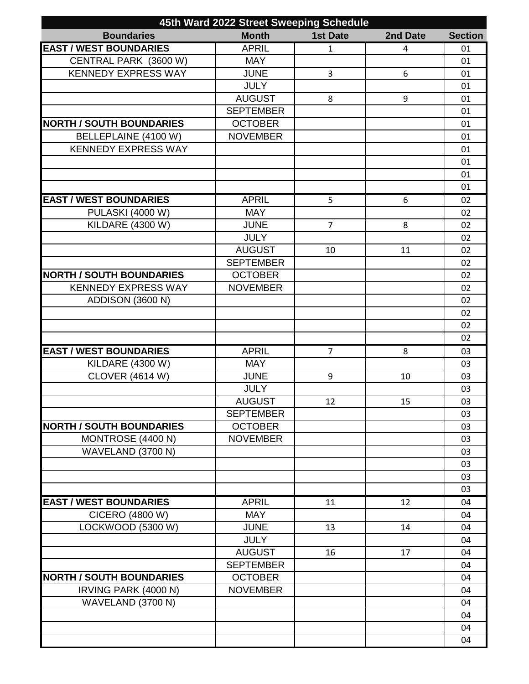| 45th Ward 2022 Street Sweeping Schedule |                  |                 |          |                |  |
|-----------------------------------------|------------------|-----------------|----------|----------------|--|
| <b>Boundaries</b>                       | <b>Month</b>     | <b>1st Date</b> | 2nd Date | <b>Section</b> |  |
| <b>EAST / WEST BOUNDARIES</b>           | <b>APRIL</b>     | 1               | 4        | 01             |  |
| CENTRAL PARK (3600 W)                   | <b>MAY</b>       |                 |          | 01             |  |
| <b>KENNEDY EXPRESS WAY</b>              | <b>JUNE</b>      | 3               | 6        | 01             |  |
|                                         | <b>JULY</b>      |                 |          | 01             |  |
|                                         | <b>AUGUST</b>    | 8               | 9        | 01             |  |
|                                         | <b>SEPTEMBER</b> |                 |          | 01             |  |
| <b>NORTH / SOUTH BOUNDARIES</b>         | <b>OCTOBER</b>   |                 |          | 01             |  |
| BELLEPLAINE (4100 W)                    | <b>NOVEMBER</b>  |                 |          | 01             |  |
| <b>KENNEDY EXPRESS WAY</b>              |                  |                 |          | 01             |  |
|                                         |                  |                 |          | 01             |  |
|                                         |                  |                 |          | 01             |  |
|                                         |                  |                 |          | 01             |  |
| <b>EAST / WEST BOUNDARIES</b>           | <b>APRIL</b>     | 5               | 6        | 02             |  |
| <b>PULASKI (4000 W)</b>                 | <b>MAY</b>       |                 |          | 02             |  |
| <b>KILDARE (4300 W)</b>                 | <b>JUNE</b>      | $\overline{7}$  | 8        | 02             |  |
|                                         | <b>JULY</b>      |                 |          | 02             |  |
|                                         | <b>AUGUST</b>    | 10              | 11       | 02             |  |
|                                         | <b>SEPTEMBER</b> |                 |          | 02             |  |
| <b>NORTH / SOUTH BOUNDARIES</b>         | <b>OCTOBER</b>   |                 |          | 02             |  |
| <b>KENNEDY EXPRESS WAY</b>              | <b>NOVEMBER</b>  |                 |          | 02             |  |
| <b>ADDISON (3600 N)</b>                 |                  |                 |          | 02             |  |
|                                         |                  |                 |          | 02             |  |
|                                         |                  |                 |          | 02             |  |
|                                         |                  |                 |          | 02             |  |
| <b>EAST / WEST BOUNDARIES</b>           | <b>APRIL</b>     | $\overline{7}$  | 8        | 03             |  |
| <b>KILDARE (4300 W)</b>                 | <b>MAY</b>       |                 |          | 03             |  |
| <b>CLOVER (4614 W)</b>                  | <b>JUNE</b>      | 9               | 10       | 03             |  |
|                                         | <b>JULY</b>      |                 |          | 03             |  |
|                                         | <b>AUGUST</b>    | 12              | 15       | 03             |  |
|                                         | <b>SEPTEMBER</b> |                 |          | 03             |  |
| <b>NORTH / SOUTH BOUNDARIES</b>         | <b>OCTOBER</b>   |                 |          | 03             |  |
| MONTROSE (4400 N)                       | <b>NOVEMBER</b>  |                 |          | 03             |  |
| WAVELAND (3700 N)                       |                  |                 |          | 03             |  |
|                                         |                  |                 |          | 03             |  |
|                                         |                  |                 |          | 03             |  |
|                                         |                  |                 |          | 03             |  |
| <b>EAST / WEST BOUNDARIES</b>           | <b>APRIL</b>     | 11              | 12       | 04             |  |
| CICERO (4800 W)                         | <b>MAY</b>       |                 |          | 04             |  |
| LOCKWOOD (5300 W)                       | <b>JUNE</b>      | 13              | 14       | 04             |  |
|                                         | <b>JULY</b>      |                 |          | 04             |  |
|                                         | <b>AUGUST</b>    | 16              | 17       | 04             |  |
|                                         | <b>SEPTEMBER</b> |                 |          | 04             |  |
| <b>NORTH / SOUTH BOUNDARIES</b>         | <b>OCTOBER</b>   |                 |          | 04             |  |
| IRVING PARK (4000 N)                    | <b>NOVEMBER</b>  |                 |          | 04             |  |
| WAVELAND (3700 N)                       |                  |                 |          | 04             |  |
|                                         |                  |                 |          | 04             |  |
|                                         |                  |                 |          | 04             |  |
|                                         |                  |                 |          | 04             |  |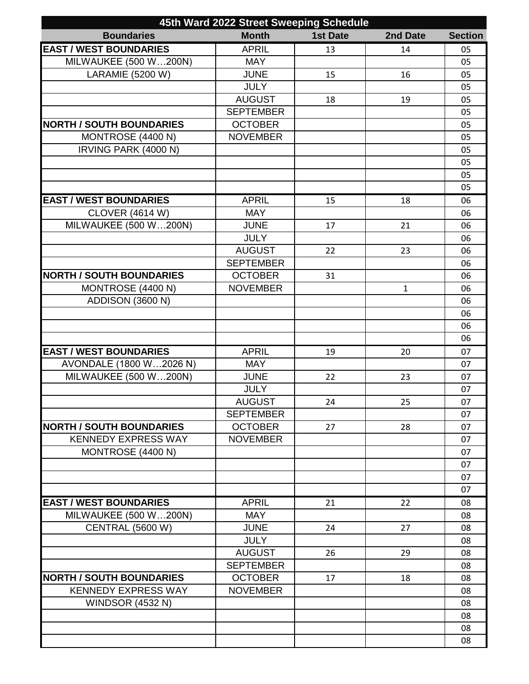| 45th Ward 2022 Street Sweeping Schedule |                  |                 |          |                |  |
|-----------------------------------------|------------------|-----------------|----------|----------------|--|
| <b>Boundaries</b>                       | <b>Month</b>     | <b>1st Date</b> | 2nd Date | <b>Section</b> |  |
| <b>EAST / WEST BOUNDARIES</b>           | <b>APRIL</b>     | 13              | 14       | 05             |  |
| MILWAUKEE (500 W200N)                   | <b>MAY</b>       |                 |          | 05             |  |
| <b>LARAMIE (5200 W)</b>                 | <b>JUNE</b>      | 15              | 16       | 05             |  |
|                                         | <b>JULY</b>      |                 |          | 05             |  |
|                                         | <b>AUGUST</b>    | 18              | 19       | 05             |  |
|                                         | <b>SEPTEMBER</b> |                 |          | 05             |  |
| <b>NORTH / SOUTH BOUNDARIES</b>         | <b>OCTOBER</b>   |                 |          | 05             |  |
| MONTROSE (4400 N)                       | <b>NOVEMBER</b>  |                 |          | 05             |  |
| IRVING PARK (4000 N)                    |                  |                 |          | 05             |  |
|                                         |                  |                 |          | 05             |  |
|                                         |                  |                 |          | 05             |  |
|                                         |                  |                 |          | 05             |  |
| <b>EAST / WEST BOUNDARIES</b>           | <b>APRIL</b>     | 15              | 18       | 06             |  |
| <b>CLOVER (4614 W)</b>                  | <b>MAY</b>       |                 |          | 06             |  |
| MILWAUKEE (500 W200N)                   | <b>JUNE</b>      | 17              | 21       | 06             |  |
|                                         | <b>JULY</b>      |                 |          | 06             |  |
|                                         | <b>AUGUST</b>    | 22              | 23       | 06             |  |
|                                         | <b>SEPTEMBER</b> |                 |          | 06             |  |
| <b>NORTH / SOUTH BOUNDARIES</b>         | <b>OCTOBER</b>   | 31              |          | 06             |  |
| MONTROSE (4400 N)                       | <b>NOVEMBER</b>  |                 | 1        | 06             |  |
| <b>ADDISON (3600 N)</b>                 |                  |                 |          | 06             |  |
|                                         |                  |                 |          | 06             |  |
|                                         |                  |                 |          | 06             |  |
|                                         |                  |                 |          | 06             |  |
| <b>EAST / WEST BOUNDARIES</b>           | <b>APRIL</b>     | 19              | 20       | 07             |  |
| AVONDALE (1800 W2026 N)                 | <b>MAY</b>       |                 |          | 07             |  |
| <b>MILWAUKEE (500 W200N)</b>            | <b>JUNE</b>      | 22              | 23       | 07             |  |
|                                         | <b>JULY</b>      |                 |          | 07             |  |
|                                         | <b>AUGUST</b>    | 24              | 25       | 07             |  |
|                                         | <b>SEPTEMBER</b> |                 |          | 07             |  |
| <b>NORTH / SOUTH BOUNDARIES</b>         | <b>OCTOBER</b>   | 27              | 28       | 07             |  |
| <b>KENNEDY EXPRESS WAY</b>              | <b>NOVEMBER</b>  |                 |          | 07             |  |
| MONTROSE (4400 N)                       |                  |                 |          | 07             |  |
|                                         |                  |                 |          | 07             |  |
|                                         |                  |                 |          | 07             |  |
|                                         |                  |                 |          | 07             |  |
| <b>EAST / WEST BOUNDARIES</b>           | <b>APRIL</b>     | 21              | 22       | 08             |  |
| MILWAUKEE (500 W200N)                   | <b>MAY</b>       |                 |          | 08             |  |
| <b>CENTRAL (5600 W)</b>                 | <b>JUNE</b>      | 24              | 27       | 08             |  |
|                                         | <b>JULY</b>      |                 |          | 08             |  |
|                                         | <b>AUGUST</b>    | 26              | 29       | 08             |  |
|                                         | <b>SEPTEMBER</b> |                 |          | 08             |  |
| <b>NORTH / SOUTH BOUNDARIES</b>         | <b>OCTOBER</b>   | 17              | 18       | 08             |  |
| <b>KENNEDY EXPRESS WAY</b>              | <b>NOVEMBER</b>  |                 |          | 08             |  |
| <b>WINDSOR (4532 N)</b>                 |                  |                 |          | 08             |  |
|                                         |                  |                 |          | 08             |  |
|                                         |                  |                 |          | 08             |  |
|                                         |                  |                 |          | 08             |  |
|                                         |                  |                 |          |                |  |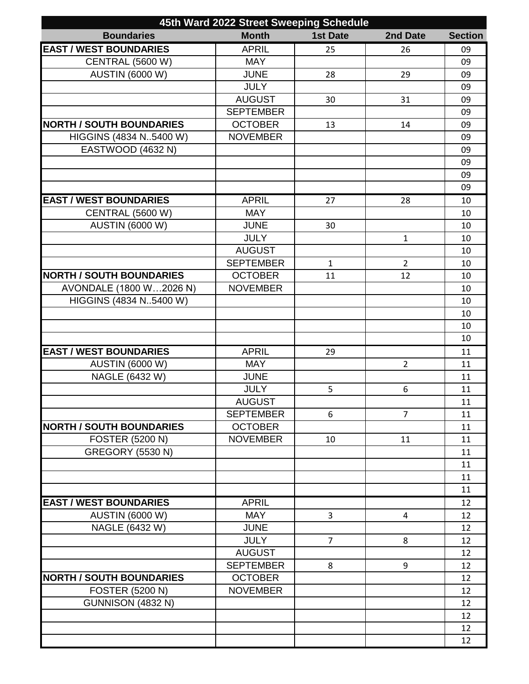| 45th Ward 2022 Street Sweeping Schedule |                  |                 |                |                |  |
|-----------------------------------------|------------------|-----------------|----------------|----------------|--|
| <b>Boundaries</b>                       | <b>Month</b>     | <b>1st Date</b> | 2nd Date       | <b>Section</b> |  |
| <b>EAST / WEST BOUNDARIES</b>           | <b>APRIL</b>     | 25              | 26             | 09             |  |
| <b>CENTRAL (5600 W)</b>                 | <b>MAY</b>       |                 |                | 09             |  |
| <b>AUSTIN (6000 W)</b>                  | <b>JUNE</b>      | 28              | 29             | 09             |  |
|                                         | <b>JULY</b>      |                 |                | 09             |  |
|                                         | <b>AUGUST</b>    | 30              | 31             | 09             |  |
|                                         | <b>SEPTEMBER</b> |                 |                | 09             |  |
| <b>NORTH / SOUTH BOUNDARIES</b>         | <b>OCTOBER</b>   | 13              | 14             | 09             |  |
| HIGGINS (4834 N5400 W)                  | <b>NOVEMBER</b>  |                 |                | 09             |  |
| EASTWOOD (4632 N)                       |                  |                 |                | 09             |  |
|                                         |                  |                 |                | 09             |  |
|                                         |                  |                 |                | 09             |  |
|                                         |                  |                 |                | 09             |  |
| <b>EAST / WEST BOUNDARIES</b>           | <b>APRIL</b>     | 27              | 28             | 10             |  |
| <b>CENTRAL (5600 W)</b>                 | <b>MAY</b>       |                 |                | 10             |  |
| <b>AUSTIN (6000 W)</b>                  | <b>JUNE</b>      | 30              |                | 10             |  |
|                                         | <b>JULY</b>      |                 | $\mathbf{1}$   | 10             |  |
|                                         | <b>AUGUST</b>    |                 |                | 10             |  |
|                                         | <b>SEPTEMBER</b> | 1               | $\overline{2}$ | 10             |  |
| <b>NORTH / SOUTH BOUNDARIES</b>         | <b>OCTOBER</b>   | 11              | 12             | 10             |  |
| AVONDALE (1800 W2026 N)                 | <b>NOVEMBER</b>  |                 |                | 10             |  |
| HIGGINS (4834 N5400 W)                  |                  |                 |                | 10             |  |
|                                         |                  |                 |                | 10             |  |
|                                         |                  |                 |                | 10             |  |
|                                         |                  |                 |                | 10             |  |
| <b>EAST / WEST BOUNDARIES</b>           | <b>APRIL</b>     | 29              |                | 11             |  |
| <b>AUSTIN (6000 W)</b>                  | <b>MAY</b>       |                 | $\overline{2}$ | 11             |  |
| NAGLE (6432 W)                          | <b>JUNE</b>      |                 |                | 11             |  |
|                                         | <b>JULY</b>      | 5               | 6              | 11             |  |
|                                         | <b>AUGUST</b>    |                 |                | 11             |  |
|                                         | <b>SEPTEMBER</b> | 6               | $\overline{7}$ | 11             |  |
| <b>NORTH / SOUTH BOUNDARIES</b>         | <b>OCTOBER</b>   |                 |                | 11             |  |
| <b>FOSTER (5200 N)</b>                  | <b>NOVEMBER</b>  | 10              | 11             | 11             |  |
| <b>GREGORY (5530 N)</b>                 |                  |                 |                | 11             |  |
|                                         |                  |                 |                | 11             |  |
|                                         |                  |                 |                | 11             |  |
|                                         |                  |                 |                | 11             |  |
| <b>EAST / WEST BOUNDARIES</b>           | <b>APRIL</b>     |                 |                | 12             |  |
| <b>AUSTIN (6000 W)</b>                  | <b>MAY</b>       | 3               | 4              | 12             |  |
| NAGLE (6432 W)                          | <b>JUNE</b>      |                 |                | 12             |  |
|                                         | <b>JULY</b>      | $\overline{7}$  | 8              | 12             |  |
|                                         | <b>AUGUST</b>    |                 |                | 12             |  |
|                                         | <b>SEPTEMBER</b> | 8               | 9              | 12             |  |
| <b>NORTH / SOUTH BOUNDARIES</b>         | <b>OCTOBER</b>   |                 |                | 12             |  |
| <b>FOSTER (5200 N)</b>                  | <b>NOVEMBER</b>  |                 |                | 12             |  |
| GUNNISON (4832 N)                       |                  |                 |                | 12             |  |
|                                         |                  |                 |                | 12             |  |
|                                         |                  |                 |                | 12             |  |
|                                         |                  |                 |                | 12             |  |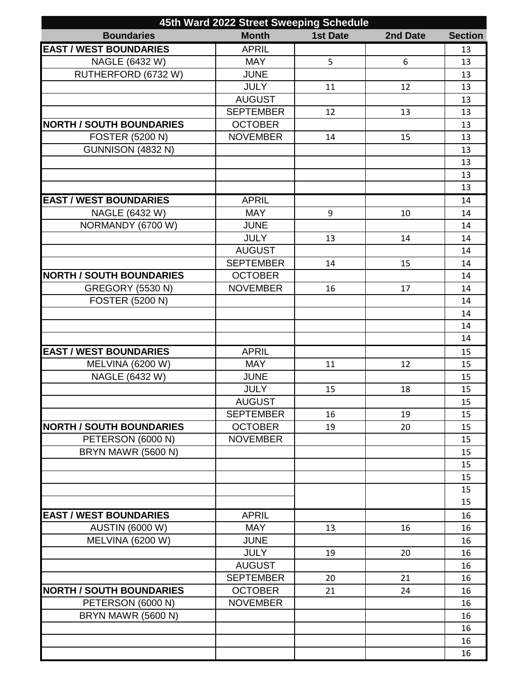| 45th Ward 2022 Street Sweeping Schedule |                  |                 |          |                |  |
|-----------------------------------------|------------------|-----------------|----------|----------------|--|
| <b>Boundaries</b>                       | <b>Month</b>     | <b>1st Date</b> | 2nd Date | <b>Section</b> |  |
| <b>EAST / WEST BOUNDARIES</b>           | <b>APRIL</b>     |                 |          | 13             |  |
| NAGLE (6432 W)                          | <b>MAY</b>       | 5               | 6        | 13             |  |
| RUTHERFORD (6732 W)                     | <b>JUNE</b>      |                 |          | 13             |  |
|                                         | <b>JULY</b>      | 11              | 12       | 13             |  |
|                                         | <b>AUGUST</b>    |                 |          | 13             |  |
|                                         | <b>SEPTEMBER</b> | 12              | 13       | 13             |  |
| <b>NORTH / SOUTH BOUNDARIES</b>         | <b>OCTOBER</b>   |                 |          | 13             |  |
| <b>FOSTER (5200 N)</b>                  | <b>NOVEMBER</b>  | 14              | 15       | 13             |  |
| GUNNISON (4832 N)                       |                  |                 |          | 13             |  |
|                                         |                  |                 |          | 13             |  |
|                                         |                  |                 |          | 13             |  |
|                                         |                  |                 |          | 13             |  |
| <b>EAST / WEST BOUNDARIES</b>           | <b>APRIL</b>     |                 |          | 14             |  |
| NAGLE (6432 W)                          | <b>MAY</b>       | 9               | 10       | 14             |  |
| NORMANDY (6700 W)                       | <b>JUNE</b>      |                 |          | 14             |  |
|                                         | <b>JULY</b>      | 13              | 14       | 14             |  |
|                                         | <b>AUGUST</b>    |                 |          | 14             |  |
|                                         | <b>SEPTEMBER</b> | 14              | 15       | 14             |  |
| <b>NORTH / SOUTH BOUNDARIES</b>         | <b>OCTOBER</b>   |                 |          | 14             |  |
| <b>GREGORY (5530 N)</b>                 | <b>NOVEMBER</b>  | 16              | 17       | 14             |  |
| <b>FOSTER (5200 N)</b>                  |                  |                 |          | 14             |  |
|                                         |                  |                 |          | 14             |  |
|                                         |                  |                 |          | 14             |  |
|                                         |                  |                 |          | 14             |  |
| <b>EAST / WEST BOUNDARIES</b>           | <b>APRIL</b>     |                 |          | 15             |  |
| <b>MELVINA (6200 W)</b>                 | <b>MAY</b>       | 11              | 12       | 15             |  |
| NAGLE (6432 W)                          | <b>JUNE</b>      |                 |          | 15             |  |
|                                         | <b>JULY</b>      | 15              | 18       | 15             |  |
|                                         | <b>AUGUST</b>    |                 |          | 15             |  |
|                                         | <b>SEPTEMBER</b> | 16              | 19       | 15             |  |
| <b>NORTH / SOUTH BOUNDARIES</b>         | <b>OCTOBER</b>   | 19              | 20       | 15             |  |
| PETERSON (6000 N)                       | <b>NOVEMBER</b>  |                 |          | 15             |  |
| BRYN MAWR (5600 N)                      |                  |                 |          | 15             |  |
|                                         |                  |                 |          | 15             |  |
|                                         |                  |                 |          | 15             |  |
|                                         |                  |                 |          | 15             |  |
|                                         |                  |                 |          | 15             |  |
| <b>EAST / WEST BOUNDARIES</b>           | <b>APRIL</b>     |                 |          | 16             |  |
| <b>AUSTIN (6000 W)</b>                  | <b>MAY</b>       | 13              | 16       | 16             |  |
| <b>MELVINA (6200 W)</b>                 | <b>JUNE</b>      |                 |          | 16             |  |
|                                         | <b>JULY</b>      | 19              | 20       | 16             |  |
|                                         | <b>AUGUST</b>    |                 |          | 16             |  |
|                                         | <b>SEPTEMBER</b> | 20              | 21       | 16             |  |
| <b>NORTH / SOUTH BOUNDARIES</b>         | <b>OCTOBER</b>   | 21              | 24       | 16             |  |
| PETERSON (6000 N)                       | <b>NOVEMBER</b>  |                 |          | 16             |  |
| BRYN MAWR (5600 N)                      |                  |                 |          | 16             |  |
|                                         |                  |                 |          | 16             |  |
|                                         |                  |                 |          | 16             |  |
|                                         |                  |                 |          |                |  |
|                                         |                  |                 |          | 16             |  |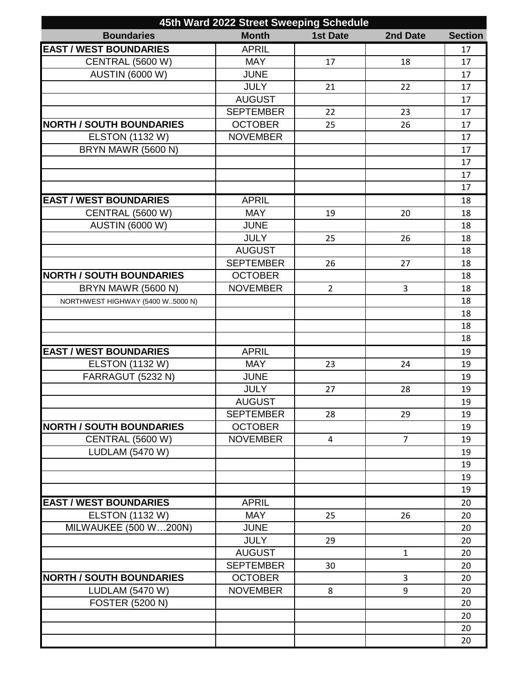| 45th Ward 2022 Street Sweeping Schedule |                  |                 |                |                |  |
|-----------------------------------------|------------------|-----------------|----------------|----------------|--|
| <b>Boundaries</b>                       | <b>Month</b>     | <b>1st Date</b> | 2nd Date       | <b>Section</b> |  |
| <b>EAST / WEST BOUNDARIES</b>           | <b>APRIL</b>     |                 |                | 17             |  |
| <b>CENTRAL (5600 W)</b>                 | <b>MAY</b>       | 17              | 18             | 17             |  |
| <b>AUSTIN (6000 W)</b>                  | <b>JUNE</b>      |                 |                | 17             |  |
|                                         | <b>JULY</b>      | 21              | 22             | 17             |  |
|                                         | <b>AUGUST</b>    |                 |                | 17             |  |
|                                         | <b>SEPTEMBER</b> | 22              | 23             | 17             |  |
| <b>NORTH / SOUTH BOUNDARIES</b>         | <b>OCTOBER</b>   | 25              | 26             | 17             |  |
| <b>ELSTON (1132 W)</b>                  | <b>NOVEMBER</b>  |                 |                | 17             |  |
| BRYN MAWR (5600 N)                      |                  |                 |                | 17             |  |
|                                         |                  |                 |                | 17             |  |
|                                         |                  |                 |                | 17             |  |
|                                         |                  |                 |                | 17             |  |
| <b>EAST / WEST BOUNDARIES</b>           | <b>APRIL</b>     |                 |                | 18             |  |
| <b>CENTRAL (5600 W)</b>                 | <b>MAY</b>       | 19              | 20             | 18             |  |
| <b>AUSTIN (6000 W)</b>                  | <b>JUNE</b>      |                 |                | 18             |  |
|                                         | <b>JULY</b>      | 25              | 26             | 18             |  |
|                                         | <b>AUGUST</b>    |                 |                | 18             |  |
|                                         | <b>SEPTEMBER</b> | 26              | 27             | 18             |  |
| <b>NORTH / SOUTH BOUNDARIES</b>         | <b>OCTOBER</b>   |                 |                | 18             |  |
| BRYN MAWR (5600 N)                      | <b>NOVEMBER</b>  | $\overline{2}$  | 3              | 18             |  |
| NORTHWEST HIGHWAY (5400 W5000 N)        |                  |                 |                | 18             |  |
|                                         |                  |                 |                | 18             |  |
|                                         |                  |                 |                | 18             |  |
|                                         |                  |                 |                | 18             |  |
| <b>EAST / WEST BOUNDARIES</b>           | <b>APRIL</b>     |                 |                | 19             |  |
| <b>ELSTON (1132 W)</b>                  | <b>MAY</b>       | 23              | 24             | 19             |  |
| FARRAGUT (5232 N)                       | <b>JUNE</b>      |                 |                | 19             |  |
|                                         | <b>JULY</b>      | 27              | 28             | 19             |  |
|                                         | <b>AUGUST</b>    |                 |                | 19             |  |
|                                         | <b>SEPTEMBER</b> | 28              | 29             | 19             |  |
| <b>NORTH / SOUTH BOUNDARIES</b>         | <b>OCTOBER</b>   |                 |                | 19             |  |
| <b>CENTRAL (5600 W)</b>                 | <b>NOVEMBER</b>  | 4               | $\overline{7}$ | 19             |  |
| <b>LUDLAM</b> (5470 W)                  |                  |                 |                | 19             |  |
|                                         |                  |                 |                | 19             |  |
|                                         |                  |                 |                | 19             |  |
|                                         |                  |                 |                | 19             |  |
| <b>EAST / WEST BOUNDARIES</b>           | <b>APRIL</b>     |                 |                | 20             |  |
| <b>ELSTON (1132 W)</b>                  | <b>MAY</b>       | 25              | 26             | 20             |  |
| <b>MILWAUKEE (500 W200N)</b>            | <b>JUNE</b>      |                 |                | 20             |  |
|                                         | <b>JULY</b>      | 29              |                | 20             |  |
|                                         | <b>AUGUST</b>    |                 | $\mathbf{1}$   | 20             |  |
|                                         | <b>SEPTEMBER</b> | 30              |                | 20             |  |
| <b>NORTH / SOUTH BOUNDARIES</b>         | <b>OCTOBER</b>   |                 | 3              | 20             |  |
| <b>LUDLAM</b> (5470 W)                  | <b>NOVEMBER</b>  | 8               | 9              | 20             |  |
| <b>FOSTER (5200 N)</b>                  |                  |                 |                | 20             |  |
|                                         |                  |                 |                | 20             |  |
|                                         |                  |                 |                | 20             |  |
|                                         |                  |                 |                | 20             |  |